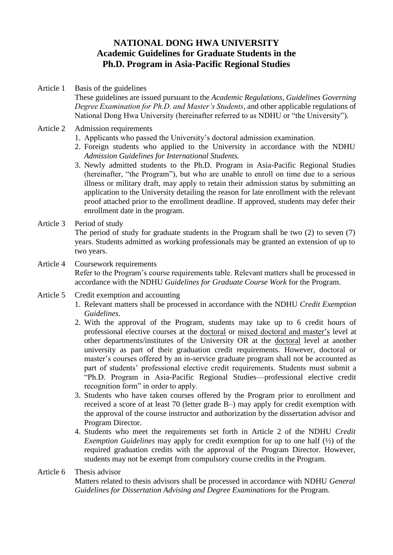## **NATIONAL DONG HWA UNIVERSITY Academic Guidelines for Graduate Students in the Ph.D. Program in Asia-Pacific Regional Studies**

- Article 1 Basis of the guidelines These guidelines are issued pursuant to the *Academic Regulations*, *Guidelines Governing Degree Examination for Ph.D. and Master's Students*, and other applicable regulations of National Dong Hwa University (hereinafter referred to as NDHU or "the University").
- Article 2 Admission requirements
	- 1. Applicants who passed the University's doctoral admission examination.
	- 2. Foreign students who applied to the University in accordance with the NDHU *Admission Guidelines for International Students.*
	- 3. Newly admitted students to the Ph.D. Program in Asia-Pacific Regional Studies (hereinafter, "the Program"), but who are unable to enroll on time due to a serious illness or military draft, may apply to retain their admission status by submitting an application to the University detailing the reason for late enrollment with the relevant proof attached prior to the enrollment deadline. If approved, students may defer their enrollment date in the program.
- Article 3 Period of study

The period of study for graduate students in the Program shall be two (2) to seven (7) years. Students admitted as working professionals may be granted an extension of up to two years.

- Article 4 Coursework requirements Refer to the Program's course requirements table. Relevant matters shall be processed in accordance with the NDHU *Guidelines for Graduate Course Work* for the Program.
- Article 5 Credit exemption and accounting
	- 1. Relevant matters shall be processed in accordance with the NDHU *Credit Exemption Guidelines*.
	- 2. With the approval of the Program, students may take up to 6 credit hours of professional elective courses at the doctoral or mixed doctoral and master's level at other departments/institutes of the University OR at the doctoral level at another university as part of their graduation credit requirements. However, doctoral or master's courses offered by an in-service graduate program shall not be accounted as part of students' professional elective credit requirements. Students must submit a "Ph.D. Program in Asia-Pacific Regional Studies—professional elective credit recognition form" in order to apply.
	- 3. Students who have taken courses offered by the Program prior to enrollment and received a score of at least 70 (letter grade B–) may apply for credit exemption with the approval of the course instructor and authorization by the dissertation advisor and Program Director.
	- 4. Students who meet the requirements set forth in Article 2 of the NDHU *Credit Exemption Guidelines* may apply for credit exemption for up to one half (½ ) of the required graduation credits with the approval of the Program Director. However, students may not be exempt from compulsory course credits in the Program.

## Article 6 Thesis advisor

Matters related to thesis advisors shall be processed in accordance with NDHU *General Guidelines for Dissertation Advising and Degree Examinations* for the Program.